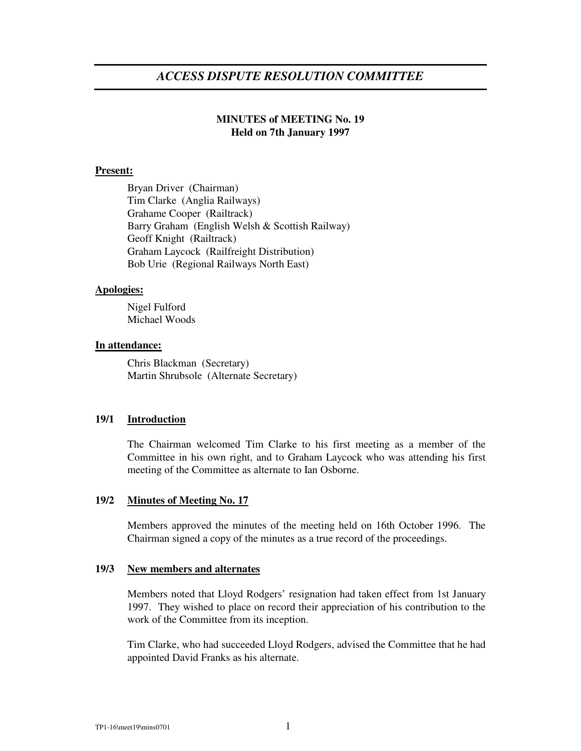# *ACCESS DISPUTE RESOLUTION COMMITTEE*

## **MINUTES of MEETING No. 19 Held on 7th January 1997**

### **Present:**

Bryan Driver (Chairman) Tim Clarke (Anglia Railways) Grahame Cooper (Railtrack) Barry Graham (English Welsh & Scottish Railway) Geoff Knight (Railtrack) Graham Laycock (Railfreight Distribution) Bob Urie (Regional Railways North East)

#### **Apologies:**

Nigel Fulford Michael Woods

#### **In attendance:**

Chris Blackman (Secretary) Martin Shrubsole (Alternate Secretary)

## **19/1 Introduction**

The Chairman welcomed Tim Clarke to his first meeting as a member of the Committee in his own right, and to Graham Laycock who was attending his first meeting of the Committee as alternate to Ian Osborne.

## **19/2 Minutes of Meeting No. 17**

Members approved the minutes of the meeting held on 16th October 1996. The Chairman signed a copy of the minutes as a true record of the proceedings.

#### **19/3 New members and alternates**

Members noted that Lloyd Rodgers' resignation had taken effect from 1st January 1997. They wished to place on record their appreciation of his contribution to the work of the Committee from its inception.

Tim Clarke, who had succeeded Lloyd Rodgers, advised the Committee that he had appointed David Franks as his alternate.